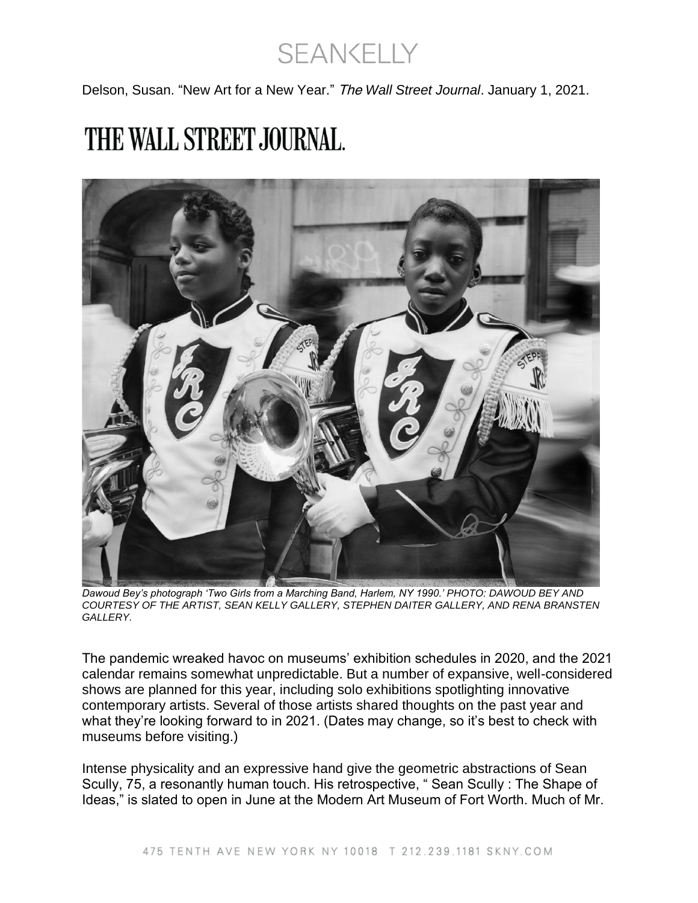**SEANKELLY** 

Delson, Susan. "New Art for a New Year." The *Wall Street Journal*. January 1, 2021.

## THE WALL STREET JOURNAL.



*Dawoud Bey's photograph 'Two Girls from a Marching Band, Harlem, NY 1990.' PHOTO: DAWOUD BEY AND COURTESY OF THE ARTIST, SEAN KELLY GALLERY, STEPHEN DAITER GALLERY, AND RENA BRANSTEN GALLERY.*

The pandemic wreaked havoc on museums' exhibition schedules in 2020, and the 2021 calendar remains somewhat unpredictable. But a number of expansive, well-considered shows are planned for this year, including solo exhibitions spotlighting innovative contemporary artists. Several of those artists shared thoughts on the past year and what they're looking forward to in 2021. (Dates may change, so it's best to check with museums before visiting.)

Intense physicality and an expressive hand give the geometric abstractions of Sean Scully, 75, a resonantly human touch. His retrospective, " Sean Scully : The Shape of Ideas," is slated to open in June at the Modern Art Museum of Fort Worth. Much of Mr.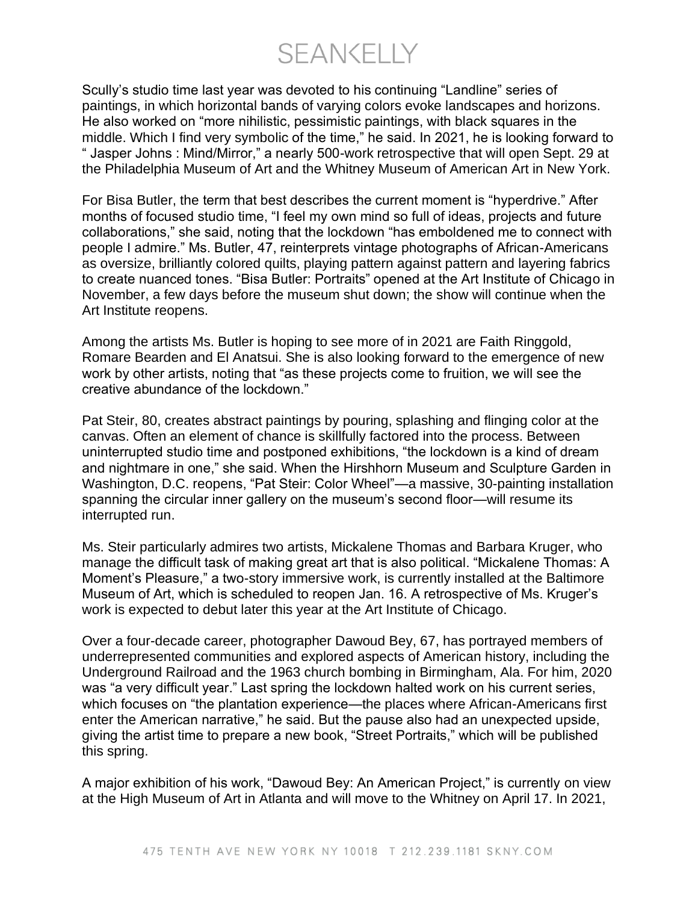**SEANKELLY** 

Scully's studio time last year was devoted to his continuing "Landline" series of paintings, in which horizontal bands of varying colors evoke landscapes and horizons. He also worked on "more nihilistic, pessimistic paintings, with black squares in the middle. Which I find very symbolic of the time," he said. In 2021, he is looking forward to " Jasper Johns : Mind/Mirror," a nearly 500-work retrospective that will open Sept. 29 at the Philadelphia Museum of Art and the Whitney Museum of American Art in New York.

For Bisa Butler, the term that best describes the current moment is "hyperdrive." After months of focused studio time, "I feel my own mind so full of ideas, projects and future collaborations," she said, noting that the lockdown "has emboldened me to connect with people I admire." Ms. Butler, 47, reinterprets vintage photographs of African-Americans as oversize, brilliantly colored quilts, playing pattern against pattern and layering fabrics to create nuanced tones. "Bisa Butler: Portraits" opened at the Art Institute of Chicago in November, a few days before the museum shut down; the show will continue when the Art Institute reopens.

Among the artists Ms. Butler is hoping to see more of in 2021 are Faith Ringgold, Romare Bearden and El Anatsui. She is also looking forward to the emergence of new work by other artists, noting that "as these projects come to fruition, we will see the creative abundance of the lockdown."

Pat Steir, 80, creates abstract paintings by pouring, splashing and flinging color at the canvas. Often an element of chance is skillfully factored into the process. Between uninterrupted studio time and postponed exhibitions, "the lockdown is a kind of dream and nightmare in one," she said. When the Hirshhorn Museum and Sculpture Garden in Washington, D.C. reopens, "Pat Steir: Color Wheel"—a massive, 30-painting installation spanning the circular inner gallery on the museum's second floor—will resume its interrupted run.

Ms. Steir particularly admires two artists, Mickalene Thomas and Barbara Kruger, who manage the difficult task of making great art that is also political. "Mickalene Thomas: A Moment's Pleasure," a two-story immersive work, is currently installed at the Baltimore Museum of Art, which is scheduled to reopen Jan. 16. A retrospective of Ms. Kruger's work is expected to debut later this year at the Art Institute of Chicago.

Over a four-decade career, photographer Dawoud Bey, 67, has portrayed members of underrepresented communities and explored aspects of American history, including the Underground Railroad and the 1963 church bombing in Birmingham, Ala. For him, 2020 was "a very difficult year." Last spring the lockdown halted work on his current series, which focuses on "the plantation experience—the places where African-Americans first enter the American narrative," he said. But the pause also had an unexpected upside, giving the artist time to prepare a new book, "Street Portraits," which will be published this spring.

A major exhibition of his work, "Dawoud Bey: An American Project," is currently on view at the High Museum of Art in Atlanta and will move to the Whitney on April 17. In 2021,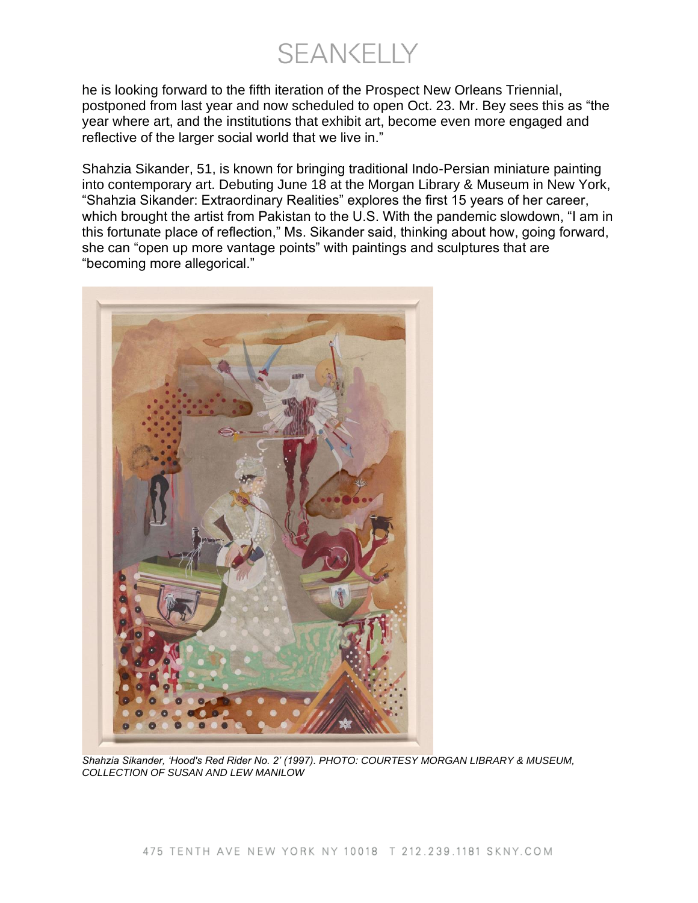**SEANKELLY** 

he is looking forward to the fifth iteration of the Prospect New Orleans Triennial, postponed from last year and now scheduled to open Oct. 23. Mr. Bey sees this as "the year where art, and the institutions that exhibit art, become even more engaged and reflective of the larger social world that we live in."

Shahzia Sikander, 51, is known for bringing traditional Indo-Persian miniature painting into contemporary art. Debuting June 18 at the Morgan Library & Museum in New York, "Shahzia Sikander: Extraordinary Realities" explores the first 15 years of her career, which brought the artist from Pakistan to the U.S. With the pandemic slowdown, "I am in this fortunate place of reflection," Ms. Sikander said, thinking about how, going forward, she can "open up more vantage points" with paintings and sculptures that are "becoming more allegorical."



*Shahzia Sikander, 'Hood's Red Rider No. 2' (1997). PHOTO: COURTESY MORGAN LIBRARY & MUSEUM, COLLECTION OF SUSAN AND LEW MANILOW*